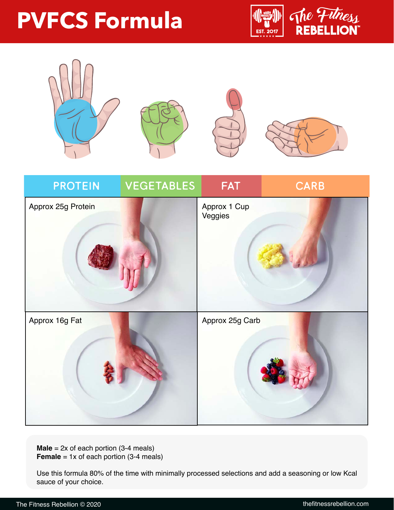## **PVFCS Formula**







**Male** = 2x of each portion (3-4 meals) **Female** = 1x of each portion (3-4 meals)

Use this formula 80% of the time with minimally processed selections and add a seasoning or low Kcal sauce of your choice.